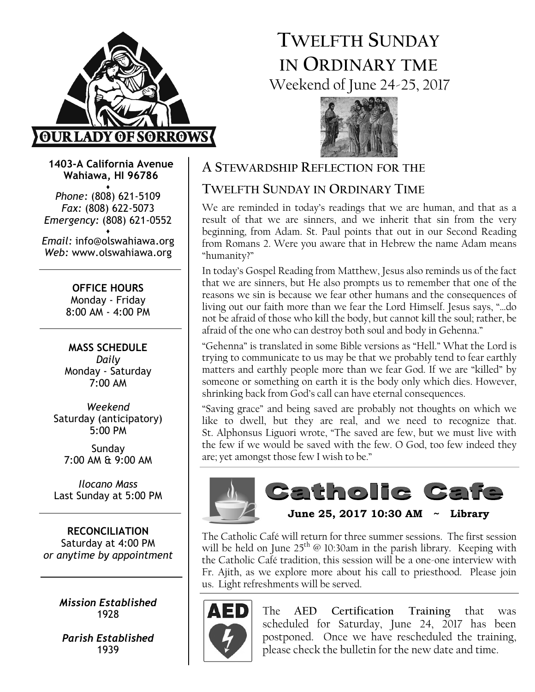

# TWELFTH SUNDAY IN ORDINARY TME Weekend of June 24-25, 2017



1403-A California Avenue Wahiawa, HI 96786

♦ Phone: (808) 621-5109 Fax: (808) 622-5073 Emergency: (808) 621-0552 ♦

Email: info@olswahiawa.org Web: www.olswahiawa.org

> OFFICE HOURS Monday - Friday 8:00 AM - 4:00 PM

MASS SCHEDULE Daily Monday - Saturday 7:00 AM

Weekend Saturday (anticipatory) 5:00 PM

Sunday 7:00 AM & 9:00 AM

Ilocano Mass Last Sunday at 5:00 PM

RECONCILIATION Saturday at 4:00 PM or anytime by appointment

> Mission Established 1928

Parish Established 1939

# A STEWARDSHIP REFLECTION FOR THE

# TWELFTH SUNDAY IN ORDINARY TIME

We are reminded in today's readings that we are human, and that as a result of that we are sinners, and we inherit that sin from the very beginning, from Adam. St. Paul points that out in our Second Reading from Romans 2. Were you aware that in Hebrew the name Adam means "humanity?"

In today's Gospel Reading from Matthew, Jesus also reminds us of the fact that we are sinners, but He also prompts us to remember that one of the reasons we sin is because we fear other humans and the consequences of living out our faith more than we fear the Lord Himself. Jesus says, "…do not be afraid of those who kill the body, but cannot kill the soul; rather, be afraid of the one who can destroy both soul and body in Gehenna."

"Gehenna" is translated in some Bible versions as "Hell." What the Lord is trying to communicate to us may be that we probably tend to fear earthly matters and earthly people more than we fear God. If we are "killed" by someone or something on earth it is the body only which dies. However, shrinking back from God's call can have eternal consequences.

"Saving grace" and being saved are probably not thoughts on which we like to dwell, but they are real, and we need to recognize that. St. Alphonsus Liguori wrote, "The saved are few, but we must live with the few if we would be saved with the few. O God, too few indeed they are; yet amongst those few I wish to be."



The Catholic Café will return for three summer sessions. The first session will be held on June  $25<sup>th</sup>$  @ 10:30am in the parish library. Keeping with the Catholic Café tradition, this session will be a one-one interview with Fr. Ajith, as we explore more about his call to priesthood. Please join us. Light refreshments will be served.



The AED Certification Training that was scheduled for Saturday, June 24, 2017 has been postponed. Once we have rescheduled the training, please check the bulletin for the new date and time.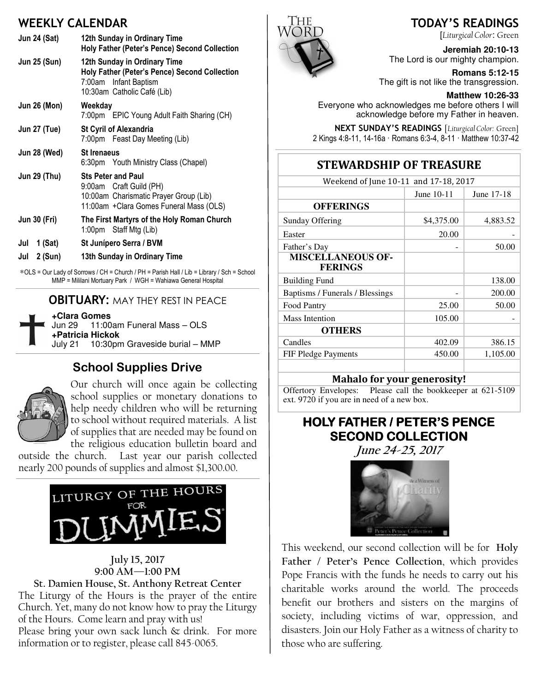# WEEKLY CALENDAR

| <b>Jun 24 (Sat)</b> | 12th Sunday in Ordinary Time<br>Holy Father (Peter's Pence) Second Collection                                                              |  |  |
|---------------------|--------------------------------------------------------------------------------------------------------------------------------------------|--|--|
| <b>Jun 25 (Sun)</b> | 12th Sunday in Ordinary Time<br>Holy Father (Peter's Pence) Second Collection<br>7:00am Infant Baptism<br>10:30am Catholic Café (Lib)      |  |  |
| <b>Jun 26 (Mon)</b> | Weekday<br>7:00pm EPIC Young Adult Faith Sharing (CH)                                                                                      |  |  |
| <b>Jun 27 (Tue)</b> | <b>St Cyril of Alexandria</b><br>7:00pm Feast Day Meeting (Lib)                                                                            |  |  |
| Jun 28 (Wed)        | <b>St Irenaeus</b><br>6:30pm Youth Ministry Class (Chapel)                                                                                 |  |  |
| <b>Jun 29 (Thu)</b> | <b>Sts Peter and Paul</b><br>9:00am Craft Guild (PH)<br>10:00am Charismatic Prayer Group (Lib)<br>11:00am + Clara Gomes Funeral Mass (OLS) |  |  |
| <b>Jun 30 (Fri)</b> | The First Martyrs of the Holy Roman Church<br>1:00pm Staff Mtg (Lib)                                                                       |  |  |
| $1$ (Sat)<br>Jul    | St Junípero Serra / BVM                                                                                                                    |  |  |
| 2 (Sun)<br>Jul      | 13th Sunday in Ordinary Time                                                                                                               |  |  |

∗OLS = Our Lady of Sorrows / CH = Church / PH = Parish Hall / Lib = Library / Sch = School MMP = Mililani Mortuary Park / WGH = Wahiawa General Hospital

#### **OBITUARY: MAY THEY REST IN PEACE**

| +Clara Gomes     |                                        |
|------------------|----------------------------------------|
|                  |                                        |
| +Patricia Hickok |                                        |
|                  | July 21 10:30pm Graveside burial - MMP |
|                  |                                        |

#### School Supplies Drive



Our church will once again be collecting school supplies or monetary donations to help needy children who will be returning to school without required materials. A list of supplies that are needed may be found on the religious education bulletin board and

outside the church. Last year our parish collected nearly 200 pounds of supplies and almost \$1,300.00.



#### July 15, 2017 9:00 AM—1:00 PM

St. Damien House, St. Anthony Retreat Center The Liturgy of the Hours is the prayer of the entire Church. Yet, many do not know how to pray the Liturgy of the Hours. Come learn and pray with us! Please bring your own sack lunch & drink. For more information or to register, please call 845-0065.



#### TODAY'S READINGS

[Liturgical Color: Green

**Jeremiah 20:10-13**  The Lord is our mighty champion.

**Romans 5:12-15**  The gift is not like the transgression.

**Matthew 10:26-33** 

Everyone who acknowledges me before others I will acknowledge before my Father in heaven.

NEXT SUNDAY'S READINGS [Liturgical Color: Green] 2 Kings 4:8-11, 14-16a · Romans 6:3-4, 8-11 · Matthew 10:37-42

## STEWARDSHIP OF TREASURE

| Weekend of June 10-11 and 17-18, 2017      |            |            |  |  |
|--------------------------------------------|------------|------------|--|--|
|                                            | June 10-11 | June 17-18 |  |  |
| <b>OFFERINGS</b>                           |            |            |  |  |
| Sunday Offering                            | \$4,375.00 | 4,883.52   |  |  |
| Easter                                     | 20.00      |            |  |  |
| Father's Day                               |            | 50.00      |  |  |
| <b>MISCELLANEOUS OF-</b><br><b>FERINGS</b> |            |            |  |  |
| <b>Building Fund</b>                       |            | 138.00     |  |  |
| Baptisms / Funerals / Blessings            |            | 200.00     |  |  |
| Food Pantry                                | 25.00      | 50.00      |  |  |
| <b>Mass Intention</b>                      | 105.00     |            |  |  |
| <b>OTHERS</b>                              |            |            |  |  |
| Candles                                    | 402.09     | 386.15     |  |  |
| FIF Pledge Payments                        | 450.00     | 1,105.00   |  |  |
|                                            |            |            |  |  |

#### Mahalo for your generosity!

Offertory Envelopes: Please call the bookkeeper at 621-5109 ext. 9720 if you are in need of a new box.

## HOLY FATHER / PETER'S PENCE **SECOND COLLECTION**

June 24-25, 2017



This weekend, our second collection will be for Holy Father / Peter's Pence Collection, which provides Pope Francis with the funds he needs to carry out his charitable works around the world. The proceeds benefit our brothers and sisters on the margins of society, including victims of war, oppression, and disasters. Join our Holy Father as a witness of charity to those who are suffering.